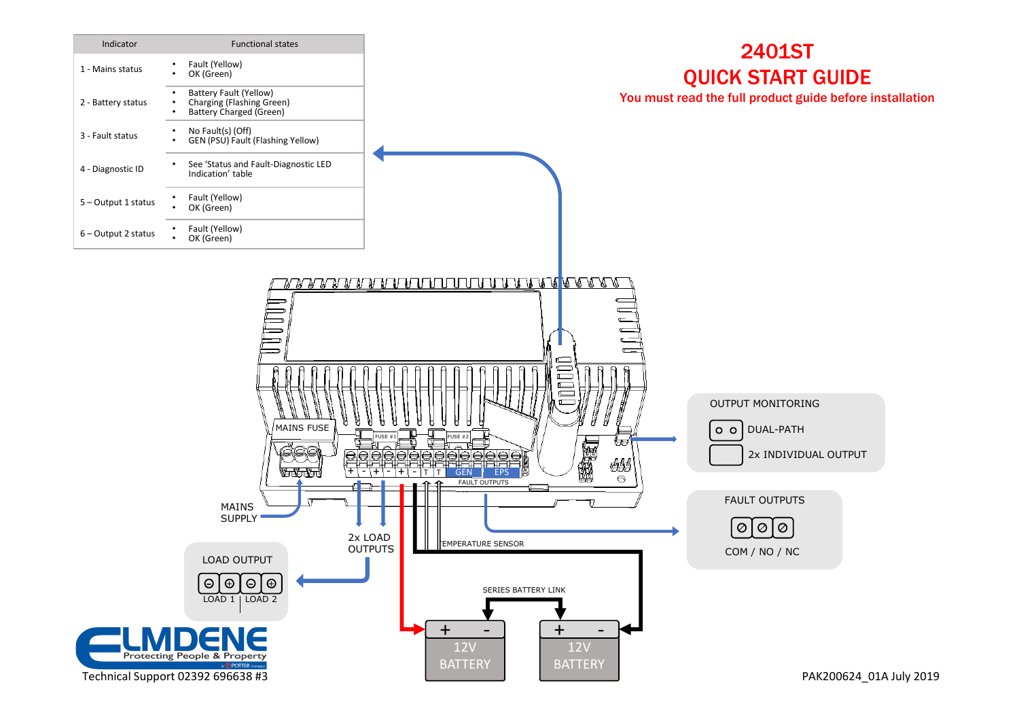